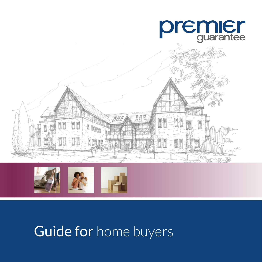



# Guide for home buyers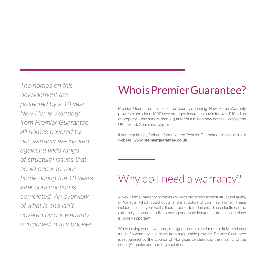*The homes on this development are protected by a 10 year New Home Warranty from Premier Guarantee. All homes covered by our warranty are insured against a wide range of structural issues that could occur to your home during the 10 years after construction is completed. An overview of what is and isn't covered by our warranty is included in this booklet.*

# Who is Premier Guarantee?

Premier Guarantee is one of the country's leading New Home Warranty providers and since 1997 have arranged insurance cover for over £40 billion of property – that's more than a quarter of a million new homes - across the UK, Ireland, Spain and Cyprus.

If you require any further information on Premier Guarantee, please visit our website, www.premierguarantee.co.uk.

# Why do I need a warranty?

A New Home Warranty provides you with protection against structural faults, or 'defects' which could occur in the structure of your new home. These include faults in your walls, floors, roof or foundations. These faults can be extremely expensive to fix so having adequate insurance protection in place is hugely important.

When buying your new home, mortgage lenders are far more likely to release funds if a warranty is in place from a reputable provider. Premier Guarantee is recognised by the Council of Mortgage Lenders and the majority of the country's banks and building societies.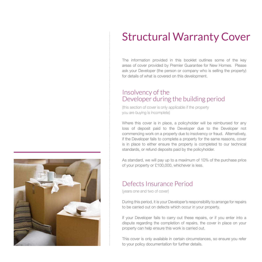### Structural Warranty Cover

The information provided in this booklet outlines some of the key areas of cover provided by Premier Guarantee for New Homes. Please ask your Developer (the person or company who is selling the property) for details of what is covered on this development.

#### Insolvency of the Developer during the building period

(this section of cover is only applicable if the property you are buying is incomplete)

Where this cover is in place, a policyholder will be reimbursed for any loss of deposit paid to the Developer due to the Developer not commencing work on a property due to insolvency or fraud. Alternatively, if the Developer fails to complete a property for the same reasons, cover is in place to either ensure the property is completed to our technical standards, or refund deposits paid by the policyholder.

As standard, we will pay up to a maximum of 10% of the purchase price of your property or £100,000, whichever is less.

#### Defects Insurance Period

(years one and two of cover)

During this period, it is your Developer's responsibility to arrange for repairs to be carried out on defects which occur in your property.

If your Developer fails to carry out these repairs, or if you enter into a dispute regarding the completion of repairs, the cover in place on your property can help ensure this work is carried out.

This cover is only available in certain circumstances, so ensure you refer to your policy documentation for further details.

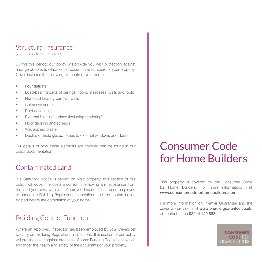#### Structural Insurance

(years three to ten of cover)

During this period, our policy will provide you with protection against a range of defects which could occur in the structure of your property. Cover includes the following elements of your home:

- Foundations
- Load-bearing parts of ceilings, floors, staircases, walls and roofs
- Non-load bearing partition walls
- Chimneys and flues
- Roof coverings
- External finishing surface (including rendering)
- Floor decking and screeds
- Wet applied plaster
- Double or triple glazed panes to external windows and doors

Full details of how these elements are covered can be found in our policy documentation.

### Contaminated Land

If a Statutory Notice is served on your property, this section of our policy will cover the costs incurred in removing any substance from the land you own, where an Approved Inspector has been employed to undertake Building Regulations inspections and the contamination existed before the completion of your home.

### Building Control Function

Where an Approved Inspector has been employed by your Developer to carry out Building Regulations inspections, this section of our policy will provide cover against breaches of some Building Regulations which endanger the health and safety of the occupants of your property.

### Consumer Code for Home Builders

This property is covered by the Consumer Code for Home Builders. For more information, visit www.consumercodeforhomebuilders.com.

For more information on Premier Guarantee and the cover we provide, visit www.premierguarantee.co.uk, or contact us on 08444 120 888.

> **CONSUMER** CODE FO **HOME BUILDERS**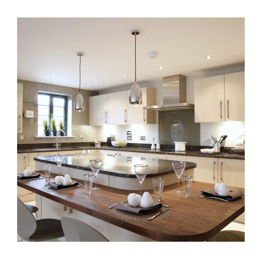